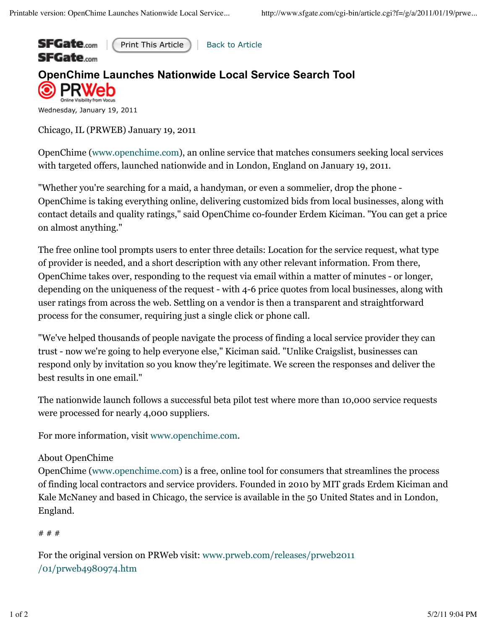

Print This Article | Back to Article

## **OpenChime Launches Nationwide Local Service Search Tool** e Visibility from Vocus

Wednesday, January 19, 2011

Chicago, IL (PRWEB) January 19, 2011

OpenChime (www.openchime.com), an online service that matches consumers seeking local services with targeted offers, launched nationwide and in London, England on January 19, 2011.

"Whether you're searching for a maid, a handyman, or even a sommelier, drop the phone - OpenChime is taking everything online, delivering customized bids from local businesses, along with contact details and quality ratings," said OpenChime co-founder Erdem Kiciman. "You can get a price on almost anything."

The free online tool prompts users to enter three details: Location for the service request, what type of provider is needed, and a short description with any other relevant information. From there, OpenChime takes over, responding to the request via email within a matter of minutes - or longer, depending on the uniqueness of the request - with 4-6 price quotes from local businesses, along with user ratings from across the web. Settling on a vendor is then a transparent and straightforward process for the consumer, requiring just a single click or phone call.

"We've helped thousands of people navigate the process of finding a local service provider they can trust - now we're going to help everyone else," Kiciman said. "Unlike Craigslist, businesses can respond only by invitation so you know they're legitimate. We screen the responses and deliver the best results in one email."

The nationwide launch follows a successful beta pilot test where more than 10,000 service requests were processed for nearly 4,000 suppliers.

For more information, visit www.openchime.com.

## About OpenChime

OpenChime (www.openchime.com) is a free, online tool for consumers that streamlines the process of finding local contractors and service providers. Founded in 2010 by MIT grads Erdem Kiciman and Kale McNaney and based in Chicago, the service is available in the 50 United States and in London, England.

## # # #

For the original version on PRWeb visit: www.prweb.com/releases/prweb2011 /01/prweb4980974.htm